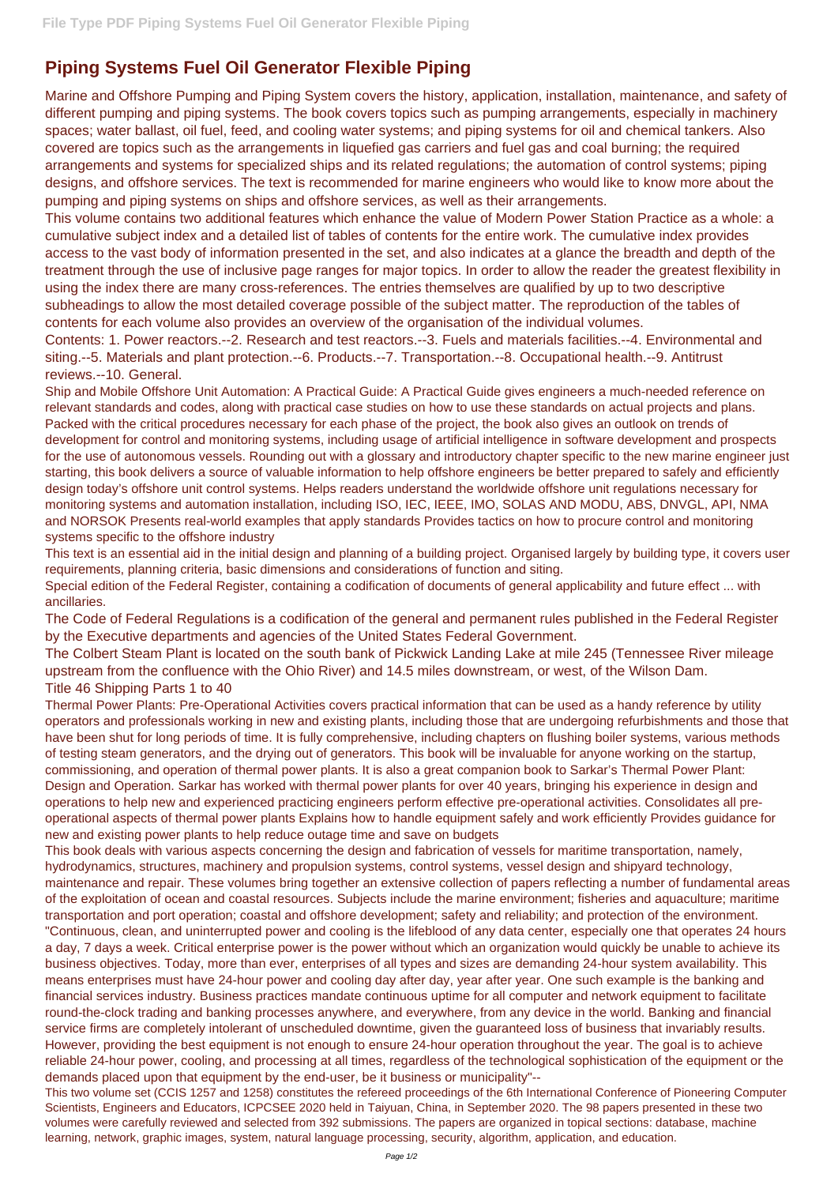## **Piping Systems Fuel Oil Generator Flexible Piping**

Marine and Offshore Pumping and Piping System covers the history, application, installation, maintenance, and safety of different pumping and piping systems. The book covers topics such as pumping arrangements, especially in machinery spaces; water ballast, oil fuel, feed, and cooling water systems; and piping systems for oil and chemical tankers. Also covered are topics such as the arrangements in liquefied gas carriers and fuel gas and coal burning; the required arrangements and systems for specialized ships and its related regulations; the automation of control systems; piping designs, and offshore services. The text is recommended for marine engineers who would like to know more about the pumping and piping systems on ships and offshore services, as well as their arrangements.

This volume contains two additional features which enhance the value of Modern Power Station Practice as a whole: a cumulative subject index and a detailed list of tables of contents for the entire work. The cumulative index provides access to the vast body of information presented in the set, and also indicates at a glance the breadth and depth of the treatment through the use of inclusive page ranges for major topics. In order to allow the reader the greatest flexibility in using the index there are many cross-references. The entries themselves are qualified by up to two descriptive subheadings to allow the most detailed coverage possible of the subject matter. The reproduction of the tables of contents for each volume also provides an overview of the organisation of the individual volumes.

Contents: 1. Power reactors.--2. Research and test reactors.--3. Fuels and materials facilities.--4. Environmental and siting.--5. Materials and plant protection.--6. Products.--7. Transportation.--8. Occupational health.--9. Antitrust reviews.--10. General.

Ship and Mobile Offshore Unit Automation: A Practical Guide: A Practical Guide gives engineers a much-needed reference on relevant standards and codes, along with practical case studies on how to use these standards on actual projects and plans. Packed with the critical procedures necessary for each phase of the project, the book also gives an outlook on trends of development for control and monitoring systems, including usage of artificial intelligence in software development and prospects for the use of autonomous vessels. Rounding out with a glossary and introductory chapter specific to the new marine engineer just starting, this book delivers a source of valuable information to help offshore engineers be better prepared to safely and efficiently design today's offshore unit control systems. Helps readers understand the worldwide offshore unit regulations necessary for monitoring systems and automation installation, including ISO, IEC, IEEE, IMO, SOLAS AND MODU, ABS, DNVGL, API, NMA and NORSOK Presents real-world examples that apply standards Provides tactics on how to procure control and monitoring systems specific to the offshore industry

This text is an essential aid in the initial design and planning of a building project. Organised largely by building type, it covers user requirements, planning criteria, basic dimensions and considerations of function and siting.

Special edition of the Federal Register, containing a codification of documents of general applicability and future effect ... with ancillaries.

The Code of Federal Regulations is a codification of the general and permanent rules published in the Federal Register by the Executive departments and agencies of the United States Federal Government.

The Colbert Steam Plant is located on the south bank of Pickwick Landing Lake at mile 245 (Tennessee River mileage upstream from the confluence with the Ohio River) and 14.5 miles downstream, or west, of the Wilson Dam. Title 46 Shipping Parts 1 to 40

Thermal Power Plants: Pre-Operational Activities covers practical information that can be used as a handy reference by utility operators and professionals working in new and existing plants, including those that are undergoing refurbishments and those that have been shut for long periods of time. It is fully comprehensive, including chapters on flushing boiler systems, various methods of testing steam generators, and the drying out of generators. This book will be invaluable for anyone working on the startup, commissioning, and operation of thermal power plants. It is also a great companion book to Sarkar's Thermal Power Plant: Design and Operation. Sarkar has worked with thermal power plants for over 40 years, bringing his experience in design and operations to help new and experienced practicing engineers perform effective pre-operational activities. Consolidates all preoperational aspects of thermal power plants Explains how to handle equipment safely and work efficiently Provides guidance for new and existing power plants to help reduce outage time and save on budgets

This book deals with various aspects concerning the design and fabrication of vessels for maritime transportation, namely, hydrodynamics, structures, machinery and propulsion systems, control systems, vessel design and shipyard technology, maintenance and repair. These volumes bring together an extensive collection of papers reflecting a number of fundamental areas of the exploitation of ocean and coastal resources. Subjects include the marine environment; fisheries and aquaculture; maritime transportation and port operation; coastal and offshore development; safety and reliability; and protection of the environment. "Continuous, clean, and uninterrupted power and cooling is the lifeblood of any data center, especially one that operates 24 hours a day, 7 days a week. Critical enterprise power is the power without which an organization would quickly be unable to achieve its business objectives. Today, more than ever, enterprises of all types and sizes are demanding 24-hour system availability. This means enterprises must have 24-hour power and cooling day after day, year after year. One such example is the banking and financial services industry. Business practices mandate continuous uptime for all computer and network equipment to facilitate round-the-clock trading and banking processes anywhere, and everywhere, from any device in the world. Banking and financial service firms are completely intolerant of unscheduled downtime, given the guaranteed loss of business that invariably results. However, providing the best equipment is not enough to ensure 24-hour operation throughout the year. The goal is to achieve reliable 24-hour power, cooling, and processing at all times, regardless of the technological sophistication of the equipment or the demands placed upon that equipment by the end-user, be it business or municipality"-- This two volume set (CCIS 1257 and 1258) constitutes the refereed proceedings of the 6th International Conference of Pioneering Computer Scientists, Engineers and Educators, ICPCSEE 2020 held in Taiyuan, China, in September 2020. The 98 papers presented in these two volumes were carefully reviewed and selected from 392 submissions. The papers are organized in topical sections: database, machine learning, network, graphic images, system, natural language processing, security, algorithm, application, and education.